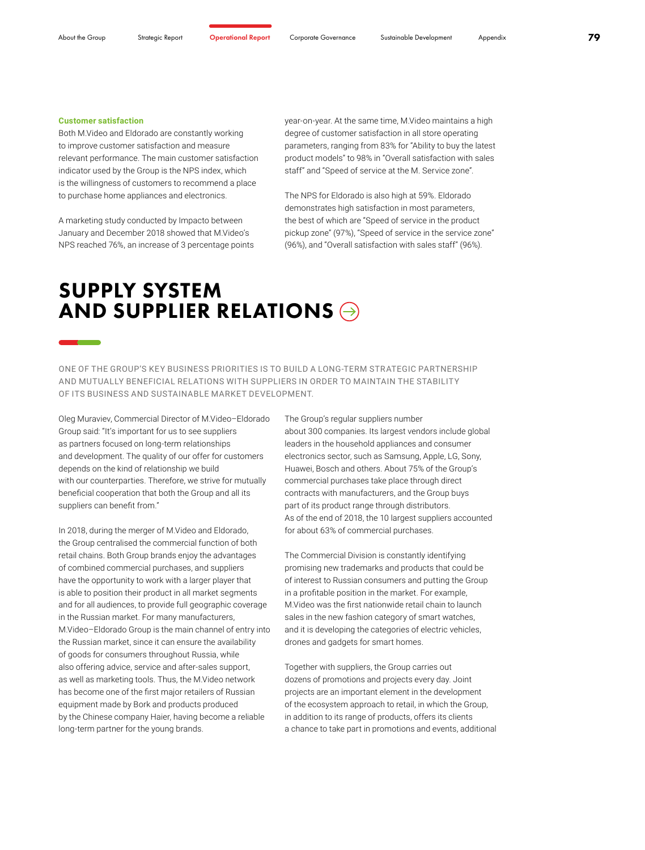#### **Customer satisfaction**

Both M.Video and Eldorado are constantly working to improve customer satisfaction and measure relevant performance. The main customer satisfaction indicator used by the Group is the NPS index, which is the willingness of customers to recommend a place to purchase home appliances and electronics.

A marketing study conducted by Impacto between January and December 2018 showed that M.Video's NPS reached 76%, an increase of 3 percentage points year-on-year. At the same time, M.Video maintains a high degree of customer satisfaction in all store operating parameters, ranging from 83% for "Ability to buy the latest product models" to 98% in "Overall satisfaction with sales staff" and "Speed of service at the M. Service zone".

The NPS for Eldorado is also high at 59%. Eldorado demonstrates high satisfaction in most parameters, the best of which are "Speed of service in the product pickup zone" (97%), "Speed of service in the service zone" (96%), and "Overall satisfaction with sales staff" (96%).

## SUPPLY SYSTEM AND SUPPLIER RELATIONS  $\ominus$

ONE OF THE GROUP'S KEY BUSINESS PRIORITIES IS TO BUILD A LONG-TERM STRATEGIC PARTNERSHIP AND MUTUALLY BENEFICIAL RELATIONS WITH SUPPLIERS IN ORDER TO MAINTAIN THE STABILITY OF ITS BUSINESS AND SUSTAINABLE MARKET DEVELOPMENT.

Oleg Muraviev, Commercial Director of M.Video–Eldorado Group said: "It's important for us to see suppliers as partners focused on long-term relationships and development. The quality of our offer for customers depends on the kind of relationship we build with our counterparties. Therefore, we strive for mutually beneficial cooperation that both the Group and all its suppliers can benefit from."

In 2018, during the merger of M.Video and Eldorado, the Group centralised the commercial function of both retail chains. Both Group brands enjoy the advantages of combined commercial purchases, and suppliers have the opportunity to work with a larger player that is able to position their product in all market segments and for all audiences, to provide full geographic coverage in the Russian market. For many manufacturers, M.Video–Eldorado Group is the main channel of entry into the Russian market, since it can ensure the availability of goods for consumers throughout Russia, while also offering advice, service and after-sales support, as well as marketing tools. Thus, the M.Video network has become one of the first major retailers of Russian equipment made by Bork and products produced by the Chinese company Haier, having become a reliable long-term partner for the young brands.

The Group's regular suppliers number about 300 companies. Its largest vendors include global leaders in the household appliances and consumer electronics sector, such as Samsung, Apple, LG, Sony, Huawei, Bosch and others. About 75% of the Group's commercial purchases take place through direct contracts with manufacturers, and the Group buys part of its product range through distributors. As of the end of 2018, the 10 largest suppliers accounted for about 63% of commercial purchases.

The Commercial Division is constantly identifying promising new trademarks and products that could be of interest to Russian consumers and putting the Group in a profitable position in the market. For example, M.Video was the first nationwide retail chain to launch sales in the new fashion category of smart watches, and it is developing the categories of electric vehicles, drones and gadgets for smart homes.

Together with suppliers, the Group carries out dozens of promotions and projects every day. Joint projects are an important element in the development of the ecosystem approach to retail, in which the Group, in addition to its range of products, offers its clients a chance to take part in promotions and events, additional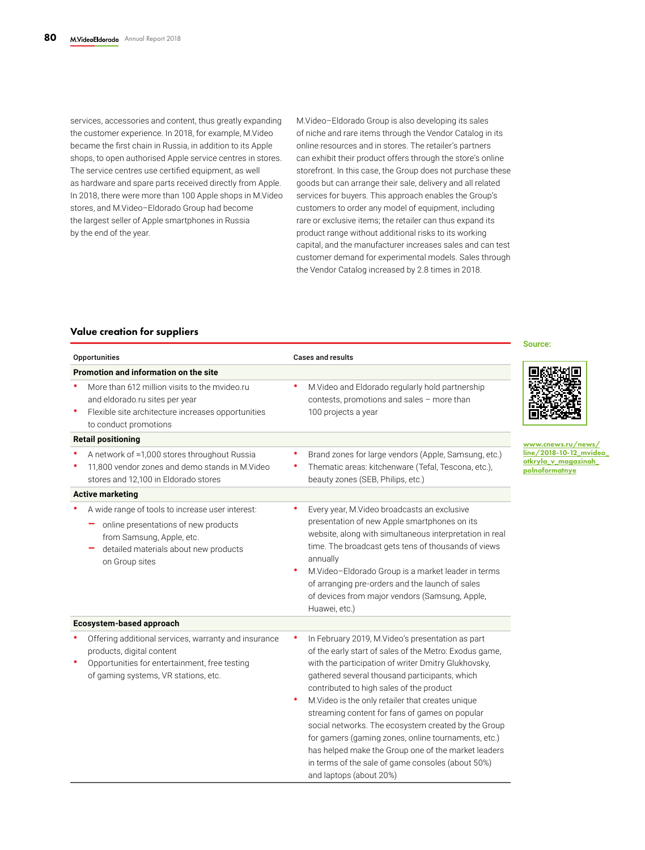services, accessories and content, thus greatly expanding the customer experience. In 2018, for example, M.Video became the first chain in Russia, in addition to its Apple shops, to open authorised Apple service centres in stores. The service centres use certified equipment, as well as hardware and spare parts received directly from Apple. In 2018, there were more than 100 Apple shops in M.Video stores, and M.Video–Eldorado Group had become the largest seller of Apple smartphones in Russia by the end of the year.

M.Video–Eldorado Group is also developing its sales of niche and rare items through the Vendor Catalog in its online resources and in stores. The retailer's partners can exhibit their product offers through the store's online storefront. In this case, the Group does not purchase these goods but can arrange their sale, delivery and all related services for buyers. This approach enables the Group's customers to order any model of equipment, including rare or exclusive items; the retailer can thus expand its product range without additional risks to its working capital, and the manufacturer increases sales and can test customer demand for experimental models. Sales through the Vendor Catalog increased by 2.8 times in 2018.

### Value creation for suppliers

|                                                                                                                                                                                                |                                                                                                                                                                                                                                                                                                                                                                                                                                                                                                                                                                                                                                | Source:                                                                                |
|------------------------------------------------------------------------------------------------------------------------------------------------------------------------------------------------|--------------------------------------------------------------------------------------------------------------------------------------------------------------------------------------------------------------------------------------------------------------------------------------------------------------------------------------------------------------------------------------------------------------------------------------------------------------------------------------------------------------------------------------------------------------------------------------------------------------------------------|----------------------------------------------------------------------------------------|
| Opportunities                                                                                                                                                                                  | <b>Cases and results</b>                                                                                                                                                                                                                                                                                                                                                                                                                                                                                                                                                                                                       |                                                                                        |
| Promotion and information on the site<br>More than 612 million visits to the myideo.ru<br>and eldorado.ru sites per year<br>Flexible site architecture increases opportunities                 | M.Video and Eldorado regularly hold partnership<br>contests, promotions and sales - more than<br>100 projects a year                                                                                                                                                                                                                                                                                                                                                                                                                                                                                                           |                                                                                        |
| to conduct promotions                                                                                                                                                                          |                                                                                                                                                                                                                                                                                                                                                                                                                                                                                                                                                                                                                                |                                                                                        |
| <b>Retail positioning</b><br>A network of ≈1,000 stores throughout Russia<br>11,800 vendor zones and demo stands in M.Video<br>stores and 12,100 in Eldorado stores<br><b>Active marketing</b> | Brand zones for large vendors (Apple, Samsung, etc.)<br>Thematic areas: kitchenware (Tefal, Tescona, etc.),<br>beauty zones (SEB, Philips, etc.)                                                                                                                                                                                                                                                                                                                                                                                                                                                                               | www.cnews.ru/news/<br>line/2018-10-12 mvideo<br>otkryla_v_magazinah_<br>polnoformatnye |
| A wide range of tools to increase user interest:<br>online presentations of new products<br>from Samsung, Apple, etc.<br>detailed materials about new products<br>on Group sites               | Every year, M.Video broadcasts an exclusive<br>presentation of new Apple smartphones on its<br>website, along with simultaneous interpretation in real<br>time. The broadcast gets tens of thousands of views<br>annually<br>M.Video-Eldorado Group is a market leader in terms<br>۰<br>of arranging pre-orders and the launch of sales<br>of devices from major vendors (Samsung, Apple,<br>Huawei, etc.)                                                                                                                                                                                                                     |                                                                                        |
| Ecosystem-based approach                                                                                                                                                                       |                                                                                                                                                                                                                                                                                                                                                                                                                                                                                                                                                                                                                                |                                                                                        |
| Offering additional services, warranty and insurance<br>products, digital content<br>Opportunities for entertainment, free testing<br>of gaming systems, VR stations, etc.                     | In February 2019, M.Video's presentation as part<br>of the early start of sales of the Metro: Exodus game,<br>with the participation of writer Dmitry Glukhovsky,<br>gathered several thousand participants, which<br>contributed to high sales of the product<br>M.Video is the only retailer that creates unique<br>٠<br>streaming content for fans of games on popular<br>social networks. The ecosystem created by the Group<br>for gamers (gaming zones, online tournaments, etc.)<br>has helped make the Group one of the market leaders<br>in terms of the sale of game consoles (about 50%)<br>and laptops (about 20%) |                                                                                        |